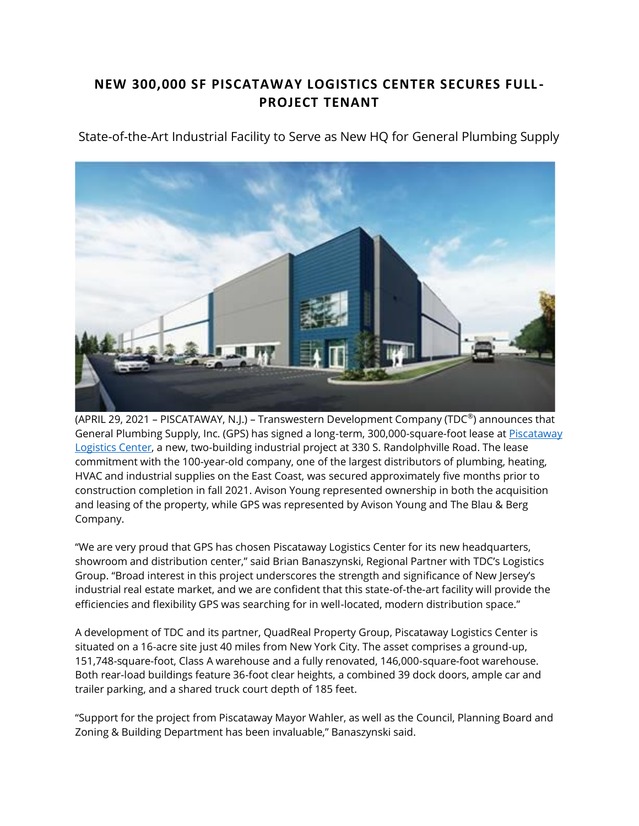## **NEW 300,000 SF PISCATAWAY LOGISTICS CENTER SECURES FULL - PROJECT TENANT**

State-of-the-Art Industrial Facility to Serve as New HQ for General Plumbing Supply



(APRIL 29, 2021 – PISCATAWAY, N.J.) – Transwestern Development Company (TDC®) announces that General Plumbing Supply, Inc. (GPS) has signed a long-term, 300,000-square-foot lease at [Piscataway](https://protect-us.mimecast.com/s/skhsCxkL74H1Bpg39I86O9U?domain=piscataway-logistics.com/)  [Logistics Center,](https://protect-us.mimecast.com/s/skhsCxkL74H1Bpg39I86O9U?domain=piscataway-logistics.com/) a new, two-building industrial project at 330 S. Randolphville Road. The lease commitment with the 100-year-old company, one of the largest distributors of plumbing, heating, HVAC and industrial supplies on the East Coast, was secured approximately five months prior to construction completion in fall 2021. Avison Young represented ownership in both the acquisition and leasing of the property, while GPS was represented by Avison Young and The Blau & Berg Company.

"We are very proud that GPS has chosen Piscataway Logistics Center for its new headquarters, showroom and distribution center," said Brian Banaszynski, Regional Partner with TDC's Logistics Group. "Broad interest in this project underscores the strength and significance of New Jersey's industrial real estate market, and we are confident that this state-of-the-art facility will provide the efficiencies and flexibility GPS was searching for in well-located, modern distribution space."

A development of TDC and its partner, QuadReal Property Group, Piscataway Logistics Center is situated on a 16-acre site just 40 miles from New York City. The asset comprises a ground-up, 151,748-square-foot, Class A warehouse and a fully renovated, 146,000-square-foot warehouse. Both rear-load buildings feature 36-foot clear heights, a combined 39 dock doors, ample car and trailer parking, and a shared truck court depth of 185 feet.

"Support for the project from Piscataway Mayor Wahler, as well as the Council, Planning Board and Zoning & Building Department has been invaluable," Banaszynski said.